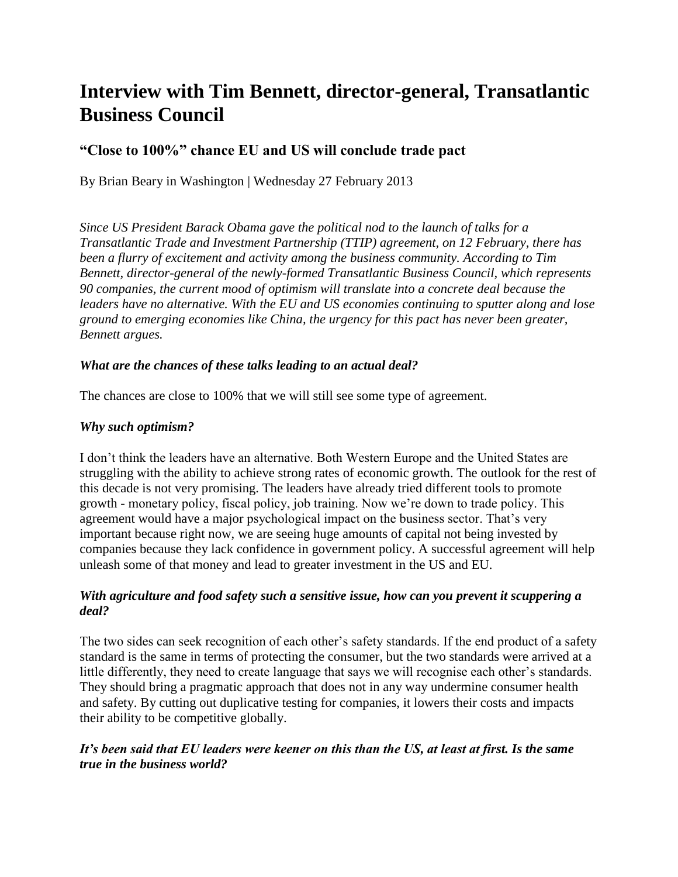# **Interview with Tim Bennett, director-general, Transatlantic Business Council**

## **"Close to 100%" chance EU and US will conclude trade pact**

By Brian Beary in Washington | Wednesday 27 February 2013

*Since US President Barack Obama gave the political nod to the launch of talks for a Transatlantic Trade and Investment Partnership (TTIP) agreement, on 12 February, there has been a flurry of excitement and activity among the business community. According to Tim Bennett, director-general of the newly-formed Transatlantic Business Council, which represents 90 companies, the current mood of optimism will translate into a concrete deal because the leaders have no alternative. With the EU and US economies continuing to sputter along and lose ground to emerging economies like China, the urgency for this pact has never been greater, Bennett argues.* 

#### *What are the chances of these talks leading to an actual deal?*

The chances are close to 100% that we will still see some type of agreement.

#### *Why such optimism?*

I don't think the leaders have an alternative. Both Western Europe and the United States are struggling with the ability to achieve strong rates of economic growth. The outlook for the rest of this decade is not very promising. The leaders have already tried different tools to promote growth - monetary policy, fiscal policy, job training. Now we're down to trade policy. This agreement would have a major psychological impact on the business sector. That's very important because right now, we are seeing huge amounts of capital not being invested by companies because they lack confidence in government policy. A successful agreement will help unleash some of that money and lead to greater investment in the US and EU.

#### *With agriculture and food safety such a sensitive issue, how can you prevent it scuppering a deal?*

The two sides can seek recognition of each other's safety standards. If the end product of a safety standard is the same in terms of protecting the consumer, but the two standards were arrived at a little differently, they need to create language that says we will recognise each other's standards. They should bring a pragmatic approach that does not in any way undermine consumer health and safety. By cutting out duplicative testing for companies, it lowers their costs and impacts their ability to be competitive globally.

## *It's been said that EU leaders were keener on this than the US, at least at first. Is the same true in the business world?*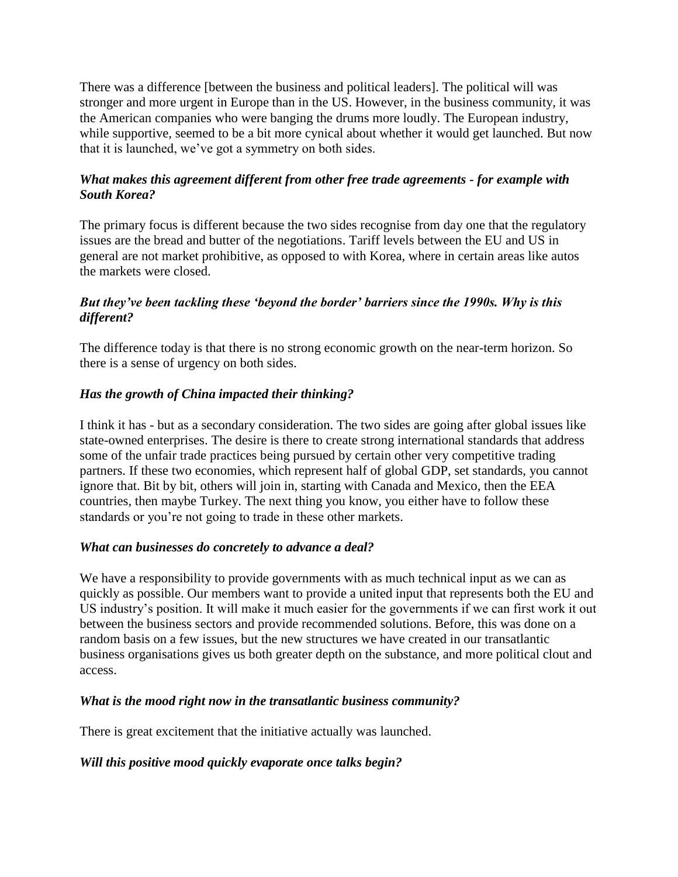There was a difference [between the business and political leaders]. The political will was stronger and more urgent in Europe than in the US. However, in the business community, it was the American companies who were banging the drums more loudly. The European industry, while supportive, seemed to be a bit more cynical about whether it would get launched. But now that it is launched, we've got a symmetry on both sides.

## *What makes this agreement different from other free trade agreements - for example with South Korea?*

The primary focus is different because the two sides recognise from day one that the regulatory issues are the bread and butter of the negotiations. Tariff levels between the EU and US in general are not market prohibitive, as opposed to with Korea, where in certain areas like autos the markets were closed.

## *But they've been tackling these 'beyond the border' barriers since the 1990s. Why is this different?*

The difference today is that there is no strong economic growth on the near-term horizon. So there is a sense of urgency on both sides.

## *Has the growth of China impacted their thinking?*

I think it has - but as a secondary consideration. The two sides are going after global issues like state-owned enterprises. The desire is there to create strong international standards that address some of the unfair trade practices being pursued by certain other very competitive trading partners. If these two economies, which represent half of global GDP, set standards, you cannot ignore that. Bit by bit, others will join in, starting with Canada and Mexico, then the EEA countries, then maybe Turkey. The next thing you know, you either have to follow these standards or you're not going to trade in these other markets.

## *What can businesses do concretely to advance a deal?*

We have a responsibility to provide governments with as much technical input as we can as quickly as possible. Our members want to provide a united input that represents both the EU and US industry's position. It will make it much easier for the governments if we can first work it out between the business sectors and provide recommended solutions. Before, this was done on a random basis on a few issues, but the new structures we have created in our transatlantic business organisations gives us both greater depth on the substance, and more political clout and access.

#### *What is the mood right now in the transatlantic business community?*

There is great excitement that the initiative actually was launched.

## *Will this positive mood quickly evaporate once talks begin?*